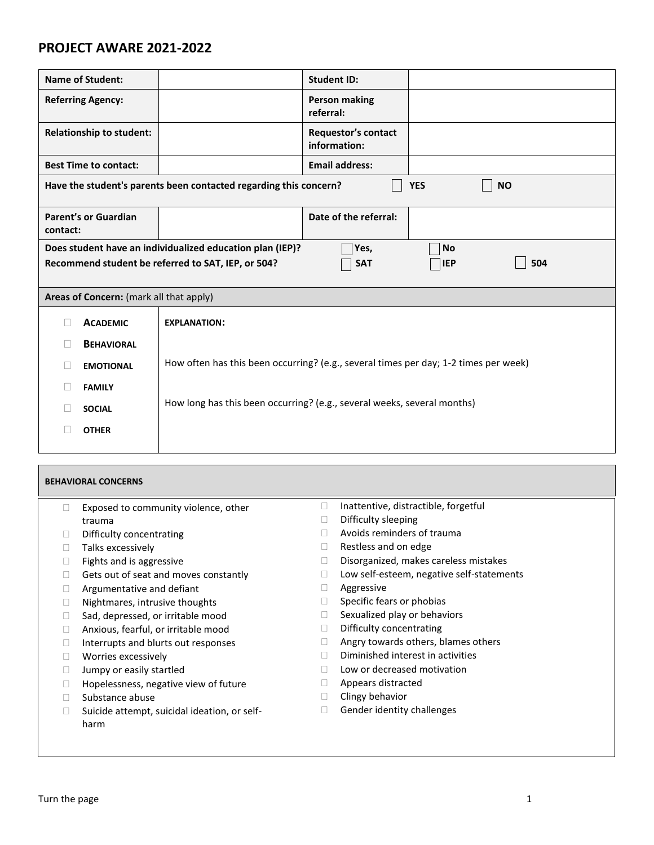## **PROJECT AWARE 2021-2022**

| <b>Name of Student:</b>                                                                      |                                         |                                                                                      | <b>Student ID:</b>                         |  |  |  |  |
|----------------------------------------------------------------------------------------------|-----------------------------------------|--------------------------------------------------------------------------------------|--------------------------------------------|--|--|--|--|
| <b>Referring Agency:</b>                                                                     |                                         |                                                                                      | <b>Person making</b><br>referral:          |  |  |  |  |
| <b>Relationship to student:</b>                                                              |                                         |                                                                                      | <b>Requestor's contact</b><br>information: |  |  |  |  |
| <b>Best Time to contact:</b>                                                                 |                                         |                                                                                      | <b>Email address:</b>                      |  |  |  |  |
| Have the student's parents been contacted regarding this concern?<br><b>YES</b><br><b>NO</b> |                                         |                                                                                      |                                            |  |  |  |  |
| <b>Parent's or Guardian</b><br>contact:                                                      |                                         |                                                                                      | Date of the referral:                      |  |  |  |  |
| Does student have an individualized education plan (IEP)?<br>Yes,<br>No                      |                                         |                                                                                      |                                            |  |  |  |  |
| Recommend student be referred to SAT, IEP, or 504?<br>504<br><b>IEP</b><br><b>SAT</b>        |                                         |                                                                                      |                                            |  |  |  |  |
|                                                                                              |                                         |                                                                                      |                                            |  |  |  |  |
|                                                                                              | Areas of Concern: (mark all that apply) |                                                                                      |                                            |  |  |  |  |
|                                                                                              | <b>ACADEMIC</b>                         | <b>EXPLANATION:</b>                                                                  |                                            |  |  |  |  |
|                                                                                              | <b>BEHAVIORAL</b>                       |                                                                                      |                                            |  |  |  |  |
|                                                                                              | <b>EMOTIONAL</b>                        | How often has this been occurring? (e.g., several times per day; 1-2 times per week) |                                            |  |  |  |  |
|                                                                                              | <b>FAMILY</b>                           |                                                                                      |                                            |  |  |  |  |
|                                                                                              | <b>SOCIAL</b>                           | How long has this been occurring? (e.g., several weeks, several months)              |                                            |  |  |  |  |
|                                                                                              | <b>OTHER</b>                            |                                                                                      |                                            |  |  |  |  |

| <b>BEHAVIORAL CONCERNS</b> |                                              |   |                                           |  |  |
|----------------------------|----------------------------------------------|---|-------------------------------------------|--|--|
|                            | Exposed to community violence, other         |   | Inattentive, distractible, forgetful      |  |  |
|                            | trauma                                       |   | Difficulty sleeping                       |  |  |
|                            | Difficulty concentrating                     |   | Avoids reminders of trauma                |  |  |
|                            | Talks excessively                            | H | Restless and on edge                      |  |  |
| Ш                          | Fights and is aggressive                     |   | Disorganized, makes careless mistakes     |  |  |
| Ш                          | Gets out of seat and moves constantly        |   | Low self-esteem, negative self-statements |  |  |
| Ш                          | Argumentative and defiant                    |   | Aggressive                                |  |  |
|                            | Nightmares, intrusive thoughts               |   | Specific fears or phobias                 |  |  |
|                            | Sad, depressed, or irritable mood            |   | Sexualized play or behaviors              |  |  |
| $\mathbf{L}$               | Anxious, fearful, or irritable mood          |   | Difficulty concentrating                  |  |  |
|                            | Interrupts and blurts out responses          |   | Angry towards others, blames others       |  |  |
| Ш                          | Worries excessively                          |   | Diminished interest in activities         |  |  |
| Ш                          | Jumpy or easily startled                     |   | Low or decreased motivation               |  |  |
|                            | Hopelessness, negative view of future        |   | Appears distracted                        |  |  |
| $\mathbf{L}$               | Substance abuse                              |   | Clingy behavior                           |  |  |
|                            | Suicide attempt, suicidal ideation, or self- |   | Gender identity challenges                |  |  |
|                            | harm                                         |   |                                           |  |  |